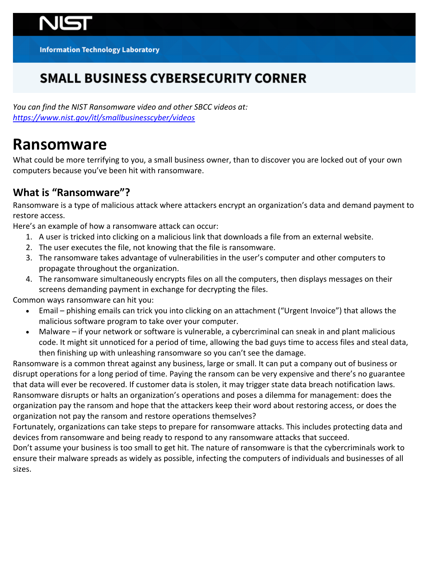**Information Technology Laboratory** 

## **SMALL BUSINESS CYBERSECURITY CORNER**

 *You can find the NIST Ransomware video and other SBCC videos at: <https://www.nist.gov/itl/smallbusinesscyber/videos>* 

## **Ransomware**

 What could be more terrifying to you, a small business owner, than to discover you are locked out of your own computers because you've been hit with ransomware.

## **What is "Ransomware"?**

 Ransomware is a type of malicious attack where attackers encrypt an organization's data and demand payment to restore access.

Here's an example of how a ransomware attack can occur:

- 1. A user is tricked into clicking on a malicious link that downloads a file from an external website.
- 2. The user executes the file, not knowing that the file is ransomware.
- 3. The ransomware takes advantage of vulnerabilities in the user's computer and other computers to propagate throughout the organization.
- 4. The ransomware simultaneously encrypts files on all the computers, then displays messages on their screens demanding payment in exchange for decrypting the files.

Common ways ransomware can hit you:

- • Email phishing emails can trick you into clicking on an attachment ("Urgent Invoice") that allows the malicious software program to take over your computer.
- • Malware if your network or software is vulnerable, a cybercriminal can sneak in and plant malicious code. It might sit unnoticed for a period of time, allowing the bad guys time to access files and steal data, then finishing up with unleashing ransomware so you can't see the damage.

 Ransomware is a common threat against any business, large or small. It can put a company out of business or disrupt operations for a long period of time. Paying the ransom can be very expensive and there's no guarantee that data will ever be recovered. If customer data is stolen, it may trigger state data breach notification laws. Ransomware disrupts or halts an organization's operations and poses a dilemma for management: does the organization pay the ransom and hope that the attackers keep their word about restoring access, or does the organization not pay the ransom and restore operations themselves?

 Fortunately, organizations can take steps to prepare for ransomware attacks. This includes protecting data and devices from ransomware and being ready to respond to any ransomware attacks that succeed.

 Don't assume your business is too small to get hit. The nature of ransomware is that the cybercriminals work to ensure their malware spreads as widely as possible, infecting the computers of individuals and businesses of all sizes.